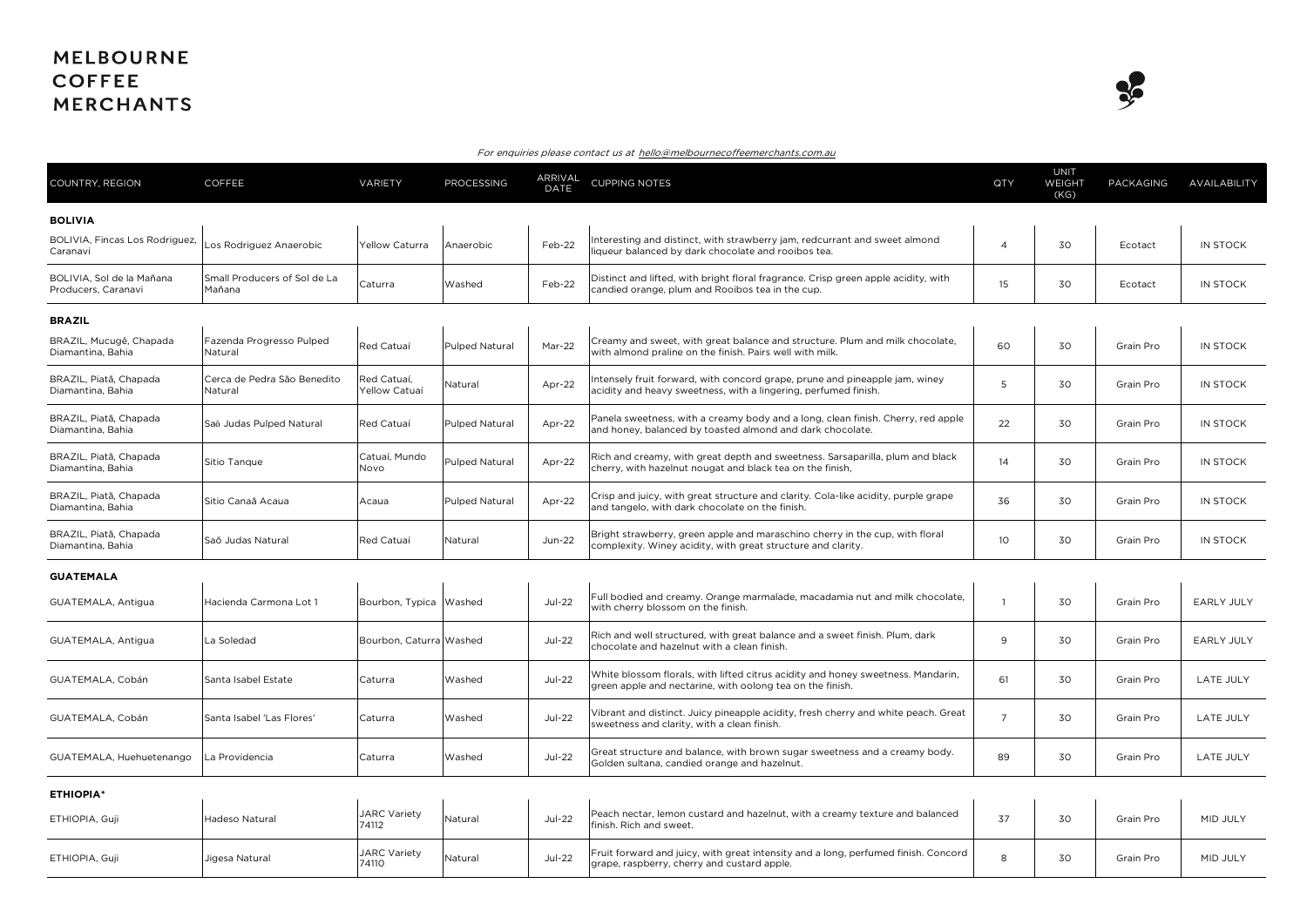## **MELBOURNE COFFEE MERCHANTS**



## For enquiries please contact us at hello@melbournecoffeemerchants.com.au

| COUNTRY, REGION                                  | <b>COFFEE</b>                          | VARIETY                      | <b>PROCESSING</b>     | ARRIVAL<br>DATE | <b>CUPPING NOTES</b>                                                                                                                           | QTY             | <b>UNIT</b><br>WEIGHT<br>(KG) | PACKAGING | AVAILABILITY      |
|--------------------------------------------------|----------------------------------------|------------------------------|-----------------------|-----------------|------------------------------------------------------------------------------------------------------------------------------------------------|-----------------|-------------------------------|-----------|-------------------|
| <b>BOLIVIA</b>                                   |                                        |                              |                       |                 |                                                                                                                                                |                 |                               |           |                   |
| BOLIVIA, Fincas Los Rodriguez,<br>Caranavi       | Los Rodriguez Anaerobic                | Yellow Caturra               | Anaerobic             | Feb-22          | Interesting and distinct, with strawberry jam, redcurrant and sweet almond<br>liqueur balanced by dark chocolate and rooibos tea.              | $\overline{4}$  | 30                            | Ecotact   | <b>IN STOCK</b>   |
| BOLIVIA, Sol de la Mañana<br>Producers, Caranavi | Small Producers of Sol de La<br>Mañana | Caturra                      | Washed                | Feb-22          | Distinct and lifted, with bright floral fragrance. Crisp green apple acidity, with<br>candied orange, plum and Rooibos tea in the cup.         | 15              | 30                            | Ecotact   | IN STOCK          |
| <b>BRAZIL</b>                                    |                                        |                              |                       |                 |                                                                                                                                                |                 |                               |           |                   |
| BRAZIL, Mucugê, Chapada<br>Diamantina, Bahia     | Fazenda Progresso Pulped<br>Natural    | Red Catuaí                   | <b>Pulped Natural</b> | Mar-22          | Creamy and sweet, with great balance and structure. Plum and milk chocolate,<br>with almond praline on the finish. Pairs well with milk.       | 60              | 30                            | Grain Pro | <b>IN STOCK</b>   |
| BRAZIL, Piatã, Chapada<br>Diamantina, Bahia      | Cerca de Pedra São Benedito<br>Natural | Red Catuaí,<br>Yellow Catuaí | Natural               | Apr-22          | Intensely fruit forward, with concord grape, prune and pineapple jam, winey<br>acidity and heavy sweetness, with a lingering, perfumed finish. | 5               | 30                            | Grain Pro | IN STOCK          |
| BRAZIL, Piatã, Chapada<br>Diamantina, Bahia      | Saō Judas Pulped Natural               | Red Catuaí                   | Pulped Natural        | Apr-22          | Panela sweetness, with a creamy body and a long, clean finish. Cherry, red apple<br>and honey, balanced by toasted almond and dark chocolate.  | 22              | 30                            | Grain Pro | IN STOCK          |
| BRAZIL, Piatã, Chapada<br>Diamantina, Bahia      | Sitio Tanque                           | Catuaí, Mundo<br>Novo        | <b>Pulped Natural</b> | Apr-22          | Rich and creamy, with great depth and sweetness. Sarsaparilla, plum and black<br>cherry, with hazelnut nougat and black tea on the finish,     | 14              | 30                            | Grain Pro | IN STOCK          |
| BRAZIL, Piatã, Chapada<br>Diamantina, Bahia      | Sitio Canaã Acaua                      | Acaua                        | <b>Pulped Natural</b> | Apr-22          | Crisp and juicy, with great structure and clarity. Cola-like acidity, purple grape<br>and tangelo, with dark chocolate on the finish.          | 36              | 30                            | Grain Pro | IN STOCK          |
| BRAZIL, Piatã, Chapada<br>Diamantina, Bahia      | Saõ Judas Natural                      | Red Catuaí                   | Natural               | $Jun-22$        | Bright strawberry, green apple and maraschino cherry in the cup, with floral<br>complexity. Winey acidity, with great structure and clarity.   | 10 <sup>°</sup> | 30                            | Grain Pro | IN STOCK          |
| <b>GUATEMALA</b>                                 |                                        |                              |                       |                 |                                                                                                                                                |                 |                               |           |                   |
| GUATEMALA, Antigua                               | Hacienda Carmona Lot 1                 | Bourbon, Typica Washed       |                       | <b>Jul-22</b>   | Full bodied and creamy. Orange marmalade, macadamia nut and milk chocolate,<br>with cherry blossom on the finish.                              |                 | 30                            | Grain Pro | <b>EARLY JULY</b> |
| GUATEMALA, Antigua                               | La Soledad                             | Bourbon, Caturra Washed      |                       | <b>Jul-22</b>   | Rich and well structured, with great balance and a sweet finish. Plum, dark<br>chocolate and hazelnut with a clean finish.                     | 9               | 30                            | Grain Pro | EARLY JULY        |
| GUATEMALA, Cobán                                 | Santa Isabel Estate                    | Caturra                      | Washed                | <b>Jul-22</b>   | White blossom florals, with lifted citrus acidity and honey sweetness. Mandarin,<br>green apple and nectarine, with oolong tea on the finish.  | 61              | 30                            | Grain Pro | <b>LATE JULY</b>  |
| GUATEMALA, Cobán                                 | Santa Isabel 'Las Flores'              | Caturra                      | Washed                | <b>Jul-22</b>   | Vibrant and distinct. Juicy pineapple acidity, fresh cherry and white peach. Great<br>sweetness and clarity, with a clean finish.              | $\overline{7}$  | 30                            | Grain Pro | LATE JULY         |
| GUATEMALA, Huehuetenango                         | La Providencia                         | Caturra                      | Washed                | <b>Jul-22</b>   | Great structure and balance, with brown sugar sweetness and a creamy body.<br>Golden sultana, candied orange and hazelnut.                     | 89              | 30                            | Grain Pro | <b>LATE JULY</b>  |
| <b>ETHIOPIA*</b>                                 |                                        |                              |                       |                 |                                                                                                                                                |                 |                               |           |                   |
| ETHIOPIA, Guji                                   | Hadeso Natural                         | <b>JARC Variety</b><br>74112 | Natural               | $Jul-22$        | Peach nectar, lemon custard and hazelnut, with a creamy texture and balanced<br>finish. Rich and sweet.                                        | 37              | 30                            | Grain Pro | MID JULY          |
| ETHIOPIA, Guji                                   | Jigesa Natural                         | <b>JARC Variety</b><br>74110 | Natural               | <b>Jul-22</b>   | Fruit forward and juicy, with great intensity and a long, perfumed finish. Concord<br>grape, raspberry, cherry and custard apple.              | 8               | 30                            | Grain Pro | MID JULY          |